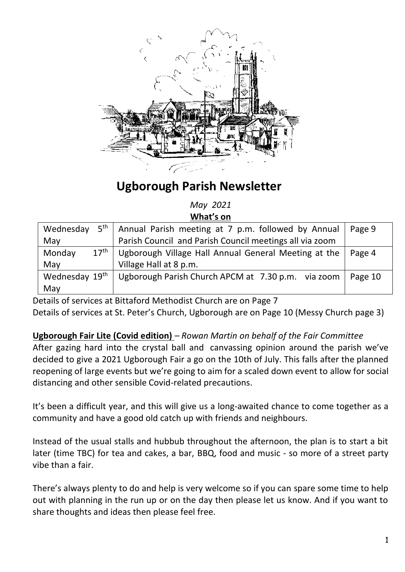

# **Ugborough Parish Newsletter**

*May 2021* **What's on**

| Wednesday                                                      | $5th$ Annual Parish meeting at 7 p.m. followed by Annual       | Page 9  |
|----------------------------------------------------------------|----------------------------------------------------------------|---------|
| Parish Council and Parish Council meetings all via zoom<br>May |                                                                |         |
| 17 <sup>th</sup><br>Monday                                     | Ugborough Village Hall Annual General Meeting at the<br>Page 4 |         |
| Village Hall at 8 p.m.<br>May                                  |                                                                |         |
| Wednesday 19th                                                 | Ugborough Parish Church APCM at 7.30 p.m. via zoom             | Page 10 |
| May                                                            |                                                                |         |

Details of services at Bittaford Methodist Church are on Page 7 Details of services at St. Peter's Church, Ugborough are on Page 10 (Messy Church page 3)

# **Ugborough Fair Lite (Covid edition)** *– Rowan Martin on behalf of the Fair Committee*

After gazing hard into the crystal ball and canvassing opinion around the parish we've decided to give a 2021 Ugborough Fair a go on the 10th of July. This falls after the planned reopening of large events but we're going to aim for a scaled down event to allow for social distancing and other sensible Covid-related precautions.

It's been a difficult year, and this will give us a long-awaited chance to come together as a community and have a good old catch up with friends and neighbours.

Instead of the usual stalls and hubbub throughout the afternoon, the plan is to start a bit later (time TBC) for tea and cakes, a bar, BBQ, food and music - so more of a street party vibe than a fair.

There's always plenty to do and help is very welcome so if you can spare some time to help out with planning in the run up or on the day then please let us know. And if you want to share thoughts and ideas then please feel free.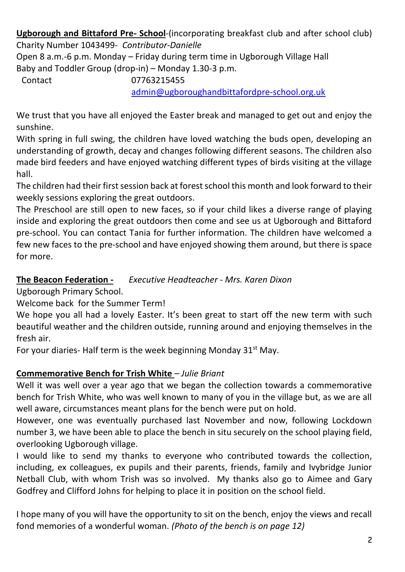**Ugborough and Bittaford Pre- School**-(incorporating breakfast club and after school club) Charity Number 1043499*- Contributor-Danielle*

Open 8 a.m.-6 p.m. Monday – Friday during term time in Ugborough Village Hall Baby and Toddler Group (drop-in) – Monday 1.30-3 p.m.

Contact 07763215455

[admin@ugboroughandbittafordpre-school.org.uk](https://d.docs.live.net/d1d00904bc4b66e8/Documents/newsletter/Ugborough%20Parish%20Newsletters%20for%202019/admin@ugboroughandbittafordpre-school.org.uk)

We trust that you have all enjoyed the Easter break and managed to get out and enjoy the sunshine.

With spring in full swing, the children have loved watching the buds open, developing an understanding of growth, decay and changes following different seasons. The children also made bird feeders and have enjoyed watching different types of birds visiting at the village hall.

The children had their first session back at forest school this month and look forward to their weekly sessions exploring the great outdoors.

The Preschool are still open to new faces, so if your child likes a diverse range of playing inside and exploring the great outdoors then come and see us at Ugborough and Bittaford pre-school. You can contact Tania for further information. The children have welcomed a few new faces to the pre-school and have enjoyed showing them around, but there is space for more.

# **The Beacon Federation -** *Executive Headteacher - Mrs. Karen Dixon*

Ugborough Primary School.

Welcome back for the Summer Term!

We hope you all had a lovely Easter. It's been great to start off the new term with such beautiful weather and the children outside, running around and enjoying themselves in the fresh air.

For your diaries- Half term is the week beginning Monday  $31<sup>st</sup>$  May.

# **Commemorative Bench for Trish White** *– Julie Briant*

Well it was well over a year ago that we began the collection towards a commemorative bench for Trish White, who was well known to many of you in the village but, as we are all well aware, circumstances meant plans for the bench were put on hold.

However, one was eventually purchased last November and now, following Lockdown number 3, we have been able to place the bench in situ securely on the school playing field, overlooking Ugborough village.

I would like to send my thanks to everyone who contributed towards the collection, including, ex colleagues, ex pupils and their parents, friends, family and Ivybridge Junior Netball Club, with whom Trish was so involved. My thanks also go to Aimee and Gary Godfrey and Clifford Johns for helping to place it in position on the school field.

I hope many of you will have the opportunity to sit on the bench, enjoy the views and recall fond memories of a wonderful woman. *(Photo of the bench is on page 12)*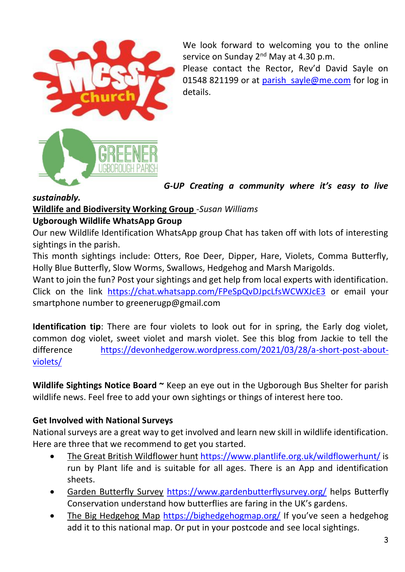

We look forward to welcoming you to the online service on Sunday 2<sup>nd</sup> May at 4.30 p.m.

Please contact the Rector, Rev'd David Sayle on 01548 821199 or at parish sayle@me.com for log in details.

*G-UP Creating a community where it's easy to live* 

#### *sustainably.*

### **Wildlife and Biodiversity Working Group** -*Susan Williams*

#### **Ugborough Wildlife WhatsApp Group**

Our new Wildlife Identification WhatsApp group Chat has taken off with lots of interesting sightings in the parish.

This month sightings include: Otters, Roe Deer, Dipper, Hare, Violets, Comma Butterfly, Holly Blue Butterfly, Slow Worms, Swallows, Hedgehog and Marsh Marigolds.

Want to join the fun? Post your sightings and get help from local experts with identification. Click on the link <https://chat.whatsapp.com/FPeSpQvDJpcLfsWCWXJcE3> or email your smartphone number to greenerugp@gmail.com

**Identification tip**: There are four violets to look out for in spring, the Early dog violet, common dog violet, sweet violet and marsh violet. See this blog from Jackie to tell the difference [https://devonhedgerow.wordpress.com/2021/03/28/a-short-post-about](https://devonhedgerow.wordpress.com/2021/03/28/a-short-post-about-violets/)[violets/](https://devonhedgerow.wordpress.com/2021/03/28/a-short-post-about-violets/)

**Wildlife Sightings Notice Board ~** Keep an eye out in the Ugborough Bus Shelter for parish wildlife news. Feel free to add your own sightings or things of interest here too.

#### **Get Involved with National Surveys**

National surveys are a great way to get involved and learn new skill in wildlife identification. Here are three that we recommend to get you started.

- The Great British Wildflower hunt <https://www.plantlife.org.uk/wildflowerhunt/> is run by Plant life and is suitable for all ages. There is an App and identification sheets.
- Garden Butterfly Survey <https://www.gardenbutterflysurvey.org/> helps Butterfly Conservation understand how butterflies are faring in the UK's gardens.
- The Big Hedgehog Map <https://bighedgehogmap.org/> If you've seen a hedgehog add it to this national map. Or put in your postcode and see local sightings.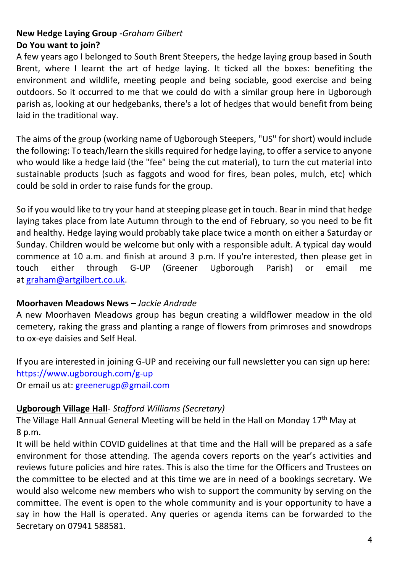#### **New Hedge Laying Group -***Graham Gilbert* **Do You want to join?**

A few years ago I belonged to South Brent Steepers, the hedge laying group based in South Brent, where I learnt the art of hedge laying. It ticked all the boxes: benefiting the environment and wildlife, meeting people and being sociable, good exercise and being outdoors. So it occurred to me that we could do with a similar group here in Ugborough parish as, looking at our hedgebanks, there's a lot of hedges that would benefit from being laid in the traditional way.

The aims of the group (working name of Ugborough Steepers, "US" for short) would include the following: To teach/learn the skills required for hedge laying, to offer a service to anyone who would like a hedge laid (the "fee" being the cut material), to turn the cut material into sustainable products (such as faggots and wood for fires, bean poles, mulch, etc) which could be sold in order to raise funds for the group.

So if you would like to try your hand at steeping please get in touch. Bear in mind that hedge laying takes place from late Autumn through to the end of February, so you need to be fit and healthy. Hedge laying would probably take place twice a month on either a Saturday or Sunday. Children would be welcome but only with a responsible adult. A typical day would commence at 10 a.m. and finish at around 3 p.m. If you're interested, then please get in touch either through G-UP (Greener Ugborough Parish) or email me at [graham@artgilbert.co.uk.](mailto:graham@artgilbert.co.uk)

#### **Moorhaven Meadows News –** *Jackie Andrade*

A new Moorhaven Meadows group has begun creating a wildflower meadow in the old cemetery, raking the grass and planting a range of flowers from primroses and snowdrops to ox-eye daisies and Self Heal.

If you are interested in joining G-UP and receiving our full newsletter you can sign up here: https://www.ugborough.com/g-up Or email us at: greenerugp@gmail.com

#### **Ugborough Village Hall**- *Stafford Williams (Secretary)*

The Village Hall Annual General Meeting will be held in the Hall on Monday 17<sup>th</sup> May at 8 p.m.

It will be held within COVID guidelines at that time and the Hall will be prepared as a safe environment for those attending. The agenda covers reports on the year's activities and reviews future policies and hire rates. This is also the time for the Officers and Trustees on the committee to be elected and at this time we are in need of a bookings secretary. We would also welcome new members who wish to support the community by serving on the committee. The event is open to the whole community and is your opportunity to have a say in how the Hall is operated. Any queries or agenda items can be forwarded to the Secretary on 07941 588581.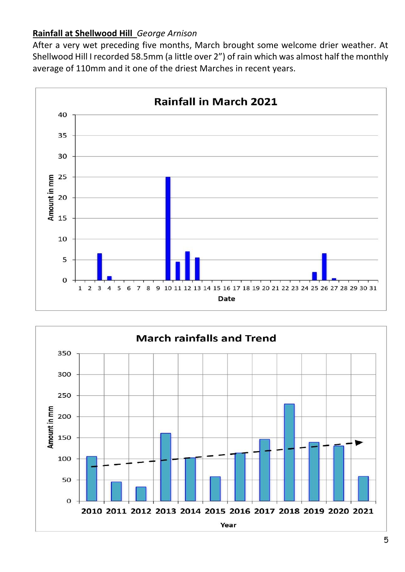# **Rainfall at Shellwood Hill** *George Arnison*

After a very wet preceding five months, March brought some welcome drier weather. At Shellwood Hill I recorded 58.5mm (a little over 2") of rain which was almost half the monthly average of 110mm and it one of the driest Marches in recent years.



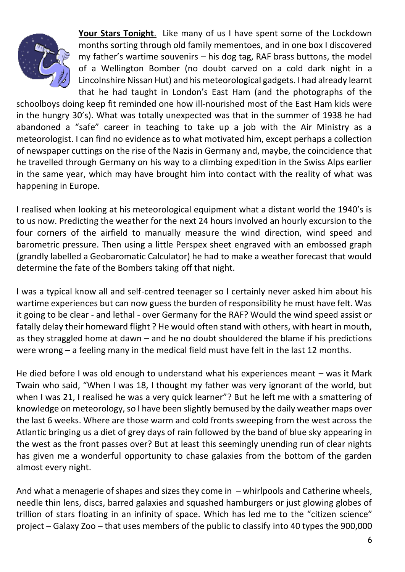

**Your Stars Tonight**. Like many of us I have spent some of the Lockdown months sorting through old family mementoes, and in one box I discovered my father's wartime souvenirs – his dog tag, RAF brass buttons, the model of a Wellington Bomber (no doubt carved on a cold dark night in a Lincolnshire Nissan Hut) and his meteorological gadgets. I had already learnt that he had taught in London's East Ham (and the photographs of the

schoolboys doing keep fit reminded one how ill-nourished most of the East Ham kids were in the hungry 30's). What was totally unexpected was that in the summer of 1938 he had abandoned a "safe" career in teaching to take up a job with the Air Ministry as a meteorologist. I can find no evidence as to what motivated him, except perhaps a collection of newspaper cuttings on the rise of the Nazis in Germany and, maybe, the coincidence that he travelled through Germany on his way to a climbing expedition in the Swiss Alps earlier in the same year, which may have brought him into contact with the reality of what was happening in Europe.

I realised when looking at his meteorological equipment what a distant world the 1940's is to us now. Predicting the weather for the next 24 hours involved an hourly excursion to the four corners of the airfield to manually measure the wind direction, wind speed and barometric pressure. Then using a little Perspex sheet engraved with an embossed graph (grandly labelled a Geobaromatic Calculator) he had to make a weather forecast that would determine the fate of the Bombers taking off that night.

I was a typical know all and self-centred teenager so I certainly never asked him about his wartime experiences but can now guess the burden of responsibility he must have felt. Was it going to be clear - and lethal - over Germany for the RAF? Would the wind speed assist or fatally delay their homeward flight ? He would often stand with others, with heart in mouth, as they straggled home at dawn – and he no doubt shouldered the blame if his predictions were wrong – a feeling many in the medical field must have felt in the last 12 months.

He died before I was old enough to understand what his experiences meant – was it Mark Twain who said, "When I was 18, I thought my father was very ignorant of the world, but when I was 21, I realised he was a very quick learner"? But he left me with a smattering of knowledge on meteorology, so I have been slightly bemused by the daily weather maps over the last 6 weeks. Where are those warm and cold fronts sweeping from the west across the Atlantic bringing us a diet of grey days of rain followed by the band of blue sky appearing in the west as the front passes over? But at least this seemingly unending run of clear nights has given me a wonderful opportunity to chase galaxies from the bottom of the garden almost every night.

And what a menagerie of shapes and sizes they come in – whirlpools and Catherine wheels, needle thin lens, discs, barred galaxies and squashed hamburgers or just glowing globes of trillion of stars floating in an infinity of space. Which has led me to the "citizen science" project – Galaxy Zoo – that uses members of the public to classify into 40 types the 900,000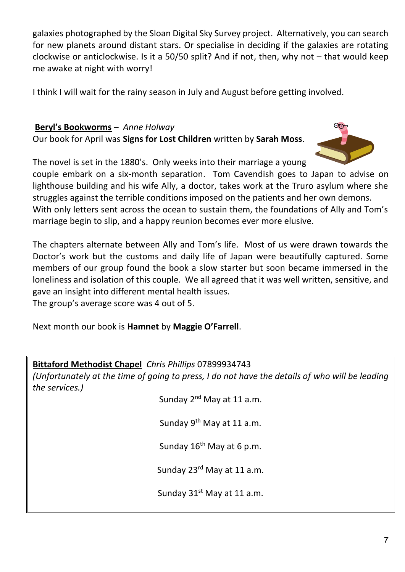galaxies photographed by the Sloan Digital Sky Survey project. Alternatively, you can search for new planets around distant stars. Or specialise in deciding if the galaxies are rotating clockwise or anticlockwise. Is it a 50/50 split? And if not, then, why not – that would keep me awake at night with worry!

I think I will wait for the rainy season in July and August before getting involved.

#### **Beryl's Bookworms** – *Anne Holway* Our book for April was **Signs for Lost Children** written by **Sarah Moss**.



The novel is set in the 1880's. Only weeks into their marriage a young

couple embark on a six-month separation. Tom Cavendish goes to Japan to advise on lighthouse building and his wife Ally, a doctor, takes work at the Truro asylum where she struggles against the terrible conditions imposed on the patients and her own demons. With only letters sent across the ocean to sustain them, the foundations of Ally and Tom's

marriage begin to slip, and a happy reunion becomes ever more elusive.

The chapters alternate between Ally and Tom's life. Most of us were drawn towards the Doctor's work but the customs and daily life of Japan were beautifully captured. Some members of our group found the book a slow starter but soon became immersed in the loneliness and isolation of this couple. We all agreed that it was well written, sensitive, and gave an insight into different mental health issues.

The group's average score was 4 out of 5.

Next month our book is **Hamnet** by **Maggie O'Farrell**.

# **Bittaford Methodist Chapel** *Chris Phillips* 07899934743

*(Unfortunately at the time of going to press, I do not have the details of who will be leading the services.)*

Sunday 2<sup>nd</sup> May at 11 a.m.

Sunday 9<sup>th</sup> May at 11 a.m.

Sunday  $16^{th}$  May at 6 p.m.

Sunday 23<sup>rd</sup> May at 11 a.m.

Sunday  $31<sup>st</sup>$  May at 11 a.m.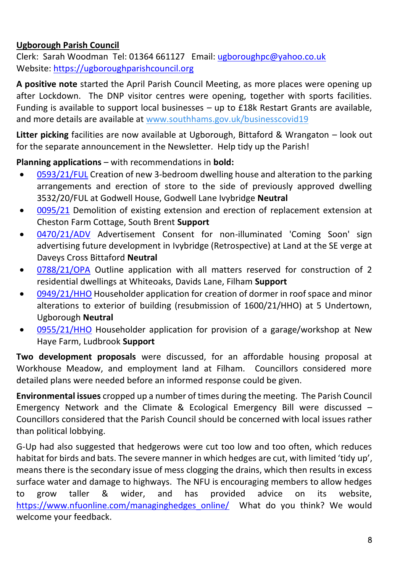# **Ugborough Parish Council**

Clerk: Sarah Woodman Tel: 01364 661127 Email: [ugboroughpc@yahoo.co.uk](file:///C:/Users/User/Documents/newsletter/ugboroughpc@yahoo.co.uk) Website[: https://ugboroughparishcouncil.org](https://ugboroughparishcouncil.org/)

**A positive note** started the April Parish Council Meeting, as more places were opening up after Lockdown. The DNP visitor centres were opening, together with sports facilities. Funding is available to support local businesses – up to £18k Restart Grants are available, and more details are available at [www.southhams.gov.uk/businesscovid19](http://track.vuelio.uk.com/z.z?l=aHR0cDovL3d3dy5zb3V0aGhhbXMuZ292LnVrL2J1c2luZXNzY292aWQxOQ%3d%3d&r=13239650200&d=13598424&p=1&t=h&h=4a2f9854fdc026aed7bef8ea4f135df8)

**Litter picking** facilities are now available at Ugborough, Bittaford & Wrangaton – look out for the separate announcement in the Newsletter. Help tidy up the Parish!

**Planning applications** – with recommendations in **bold:** 

- [0593/21/FUL](http://apps.southhams.gov.uk/PlanningSearchMVC/Home/Details/210593) Creation of new 3-bedroom dwelling house and alteration to the parking arrangements and erection of store to the side of previously approved dwelling 3532/20/FUL at Godwell House, Godwell Lane Ivybridge **Neutral**
- [0095/21](https://www.dartmoor.gov.uk/living-and-working/planning/search-for-an-application/db-links/detailed-application-result?AppNo=0095%2F21) Demolition of existing extension and erection of replacement extension at Cheston Farm Cottage, South Brent **Support**
- [0470/21/ADV](http://apps.southhams.gov.uk/PlanningSearchMVC/Home/Details/210470) Advertisement Consent for non-illuminated 'Coming Soon' sign advertising future development in Ivybridge (Retrospective) at Land at the SE verge at Daveys Cross Bittaford **Neutral**
- [0788/21/OPA](http://apps.southhams.gov.uk/PlanningSearchMVC/Home/Details/210788) Outline application with all matters reserved for construction of 2 residential dwellings at Whiteoaks, Davids Lane, Filham **Support**
- [0949/21/HHO](http://apps.southhams.gov.uk/PlanningSearchMVC/Home/Details/210949) Householder application for creation of dormer in roof space and minor alterations to exterior of building (resubmission of 1600/21/HHO) at 5 Undertown, Ugborough **Neutral**
- [0955/21/HHO](http://apps.southhams.gov.uk/PlanningSearchMVC/Home/Details/210955) Householder application for provision of a garage/workshop at New Haye Farm, Ludbrook **Support**

**Two development proposals** were discussed, for an affordable housing proposal at Workhouse Meadow, and employment land at Filham. Councillors considered more detailed plans were needed before an informed response could be given.

**Environmental issues** cropped up a number of times during the meeting. The Parish Council Emergency Network and the Climate & Ecological Emergency Bill were discussed – Councillors considered that the Parish Council should be concerned with local issues rather than political lobbying.

G-Up had also suggested that hedgerows were cut too low and too often, which reduces habitat for birds and bats. The severe manner in which hedges are cut, with limited 'tidy up', means there is the secondary issue of mess clogging the drains, which then results in excess surface water and damage to highways. The NFU is encouraging members to allow hedges to grow taller & wider, and has provided advice on its website, [https://www.nfuonline.com/managinghedges\\_online/](https://www.nfuonline.com/managinghedges_online/) What do you think? We would welcome your feedback.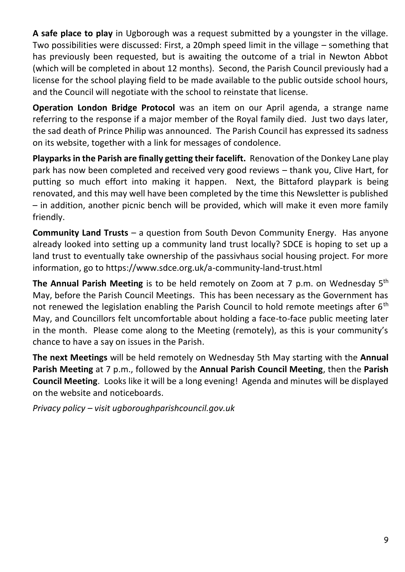**A safe place to play** in Ugborough was a request submitted by a youngster in the village. Two possibilities were discussed: First, a 20mph speed limit in the village – something that has previously been requested, but is awaiting the outcome of a trial in Newton Abbot (which will be completed in about 12 months). Second, the Parish Council previously had a license for the school playing field to be made available to the public outside school hours, and the Council will negotiate with the school to reinstate that license.

**Operation London Bridge Protocol** was an item on our April agenda, a strange name referring to the response if a major member of the Royal family died. Just two days later, the sad death of Prince Philip was announced. The Parish Council has expressed its sadness on its website, together with a link for messages of condolence.

**Playparks in the Parish are finally getting their facelift.** Renovation of the Donkey Lane play park has now been completed and received very good reviews – thank you, Clive Hart, for putting so much effort into making it happen. Next, the Bittaford playpark is being renovated, and this may well have been completed by the time this Newsletter is published – in addition, another picnic bench will be provided, which will make it even more family friendly.

**Community Land Trusts** – a question from South Devon Community Energy. Has anyone already looked into setting up a community land trust locally? SDCE is hoping to set up a land trust to eventually take ownership of the passivhaus social housing project. For more information, go to https://www.sdce.org.uk/a-community-land-trust.html

**The Annual Parish Meeting** is to be held remotely on Zoom at 7 p.m. on Wednesday 5th May, before the Parish Council Meetings. This has been necessary as the Government has not renewed the legislation enabling the Parish Council to hold remote meetings after  $6<sup>th</sup>$ May, and Councillors felt uncomfortable about holding a face-to-face public meeting later in the month. Please come along to the Meeting (remotely), as this is your community's chance to have a say on issues in the Parish.

**The next Meetings** will be held remotely on Wednesday 5th May starting with the **Annual Parish Meeting** at 7 p.m., followed by the **Annual Parish Council Meeting**, then the **Parish Council Meeting**. Looks like it will be a long evening! Agenda and minutes will be displayed on the website and noticeboards.

*Privacy policy – visit ugboroughparishcouncil.gov.uk*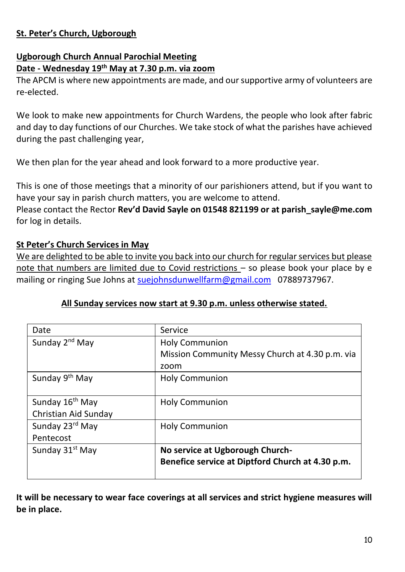# **St. Peter's Church, Ugborough**

#### **Ugborough Church Annual Parochial Meeting Date - Wednesday 19th May at 7.30 p.m. via zoom**

The APCM is where new appointments are made, and oursupportive army of volunteers are re-elected.

We look to make new appointments for Church Wardens, the people who look after fabric and day to day functions of our Churches. We take stock of what the parishes have achieved during the past challenging year,

We then plan for the year ahead and look forward to a more productive year.

This is one of those meetings that a minority of our parishioners attend, but if you want to have your say in parish church matters, you are welcome to attend.

Please contact the Rector **Rev'd David Sayle on 01548 821199 or at parish\_sayle@me.com** for log in details.

# **St Peter's Church Services in May**

We are delighted to be able to invite you back into our church for regular services but please note that numbers are limited due to Covid restrictions – so please book your place by e mailing or ringing Sue Johns at [suejohnsdunwellfarm@gmail.com](mailto:suejohnsdunwellfarm@gmail.com) 07889737967.

# **All Sunday services now start at 9.30 p.m. unless otherwise stated.**

| Date                        | Service                                          |
|-----------------------------|--------------------------------------------------|
| Sunday 2 <sup>nd</sup> May  | Holy Communion                                   |
|                             | Mission Community Messy Church at 4.30 p.m. via  |
|                             | zoom                                             |
| Sunday 9 <sup>th</sup> May  | <b>Holy Communion</b>                            |
|                             |                                                  |
| Sunday 16 <sup>th</sup> May | Holy Communion                                   |
| Christian Aid Sunday        |                                                  |
| Sunday 23rd May             | Holy Communion                                   |
| Pentecost                   |                                                  |
| Sunday 31 <sup>st</sup> May | No service at Ugborough Church-                  |
|                             | Benefice service at Diptford Church at 4.30 p.m. |
|                             |                                                  |

**It will be necessary to wear face coverings at all services and strict hygiene measures will be in place.**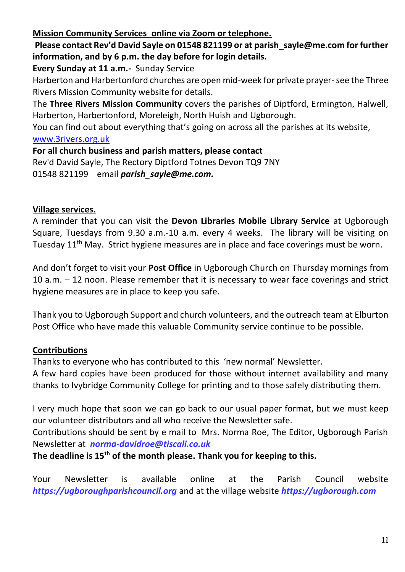# **Mission Community Services online via Zoom or telephone.**

**Please contact Rev'd David Sayle on 01548 821199 or at parish\_sayle@me.com for further information, and by 6 p.m. the day before for login details.**

**Every Sunday at 11 a.m.-** Sunday Service

Harberton and Harbertonford churches are open mid-week for private prayer-see the Three Rivers Mission Community website for details.

The **Three Rivers Mission Community** covers the parishes of Diptford, Ermington, Halwell, Harberton, Harbertonford, Moreleigh, North Huish and Ugborough.

You can find out about everything that's going on across all the parishes at its website, [www.3rivers.org.uk](http://www.3rivers.org.uk/)

**For all church business and parish matters, please contact**

Rev'd David Sayle, The Rectory Diptford Totnes Devon TQ9 7NY 01548 821199 email *[parish\\_sayle@me.com.](mailto:parish_sayle@me.com)*

# **Village services.**

A reminder that you can visit the **Devon Libraries Mobile Library Service** at Ugborough Square, Tuesdays from 9.30 a.m.-10 a.m. every 4 weeks. The library will be visiting on Tuesday 11<sup>th</sup> May. Strict hygiene measures are in place and face coverings must be worn.

And don't forget to visit your **Post Office** in Ugborough Church on Thursday mornings from 10 a.m. – 12 noon. Please remember that it is necessary to wear face coverings and strict hygiene measures are in place to keep you safe.

Thank you to Ugborough Support and church volunteers, and the outreach team at Elburton Post Office who have made this valuable Community service continue to be possible.

# **Contributions**

Thanks to everyone who has contributed to this 'new normal' Newsletter.

A few hard copies have been produced for those without internet availability and many thanks to Ivybridge Community College for printing and to those safely distributing them.

I very much hope that soon we can go back to our usual paper format, but we must keep our volunteer distributors and all who receive the Newsletter safe.

Contributions should be sent by e mail to Mrs. Norma Roe, The Editor, Ugborough Parish Newsletter at *[norma-davidroe@tiscali.co.uk](mailto:norma-davidroe@tiscali.co.uk)*

**The deadline is 15th of the month please. Thank you for keeping to this.** 

Your Newsletter is available online at the Parish Council website *[https://ugboroughparishcouncil.org](https://ugboroughparishcouncil.org/)* and at the village website *[https://ugborough.com](https://ugborough.com/)*